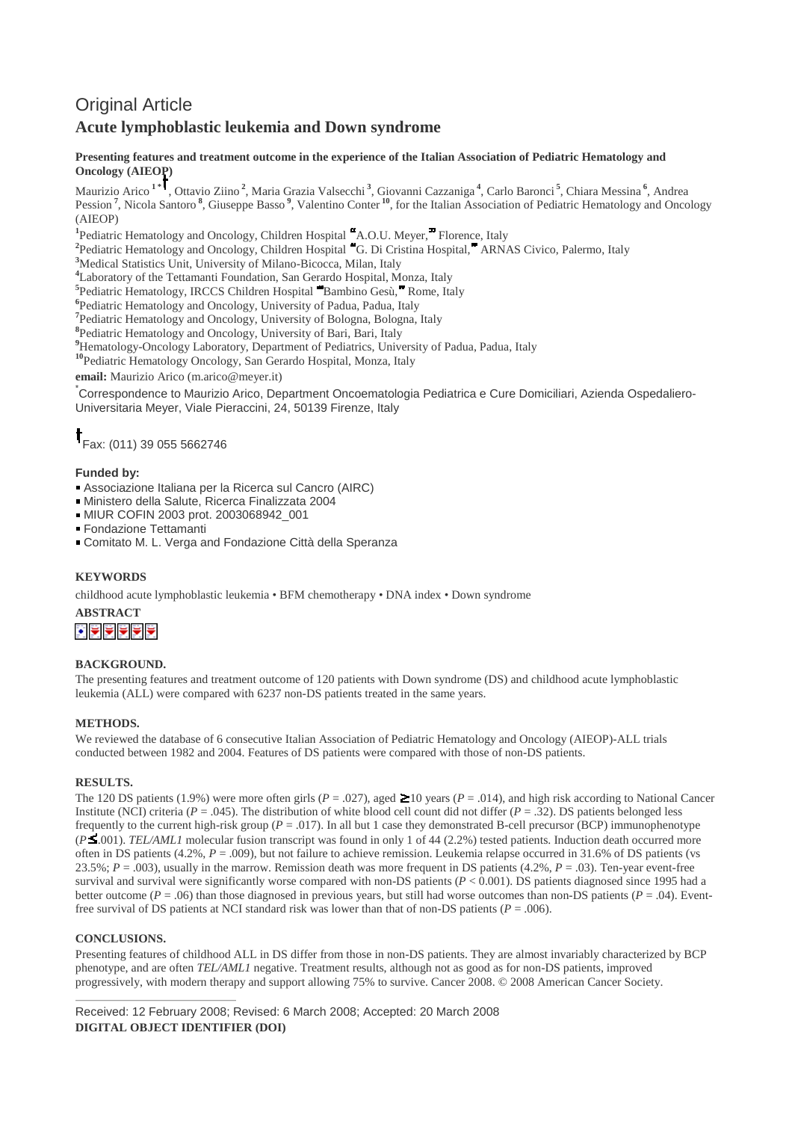# Original Article

## **Acute lymphoblastic leukemia and Down syndrome**

### **Presenting features and treatment outcome in the experience of the Italian Association of Pediatric Hematology and Oncology (AIEOP)**

Maurizio Arico **1 \*** , Ottavio Ziino **<sup>2</sup>** , Maria Grazia Valsecchi **<sup>3</sup>** , Giovanni Cazzaniga **<sup>4</sup>** , Carlo Baronci **<sup>5</sup>** , Chiara Messina **<sup>6</sup>** , Andrea Pession<sup>7</sup>, Nicola Santoro<sup>8</sup>, Giuseppe Basso<sup>9</sup>, Valentino Conter<sup>10</sup>, for the Italian Association of Pediatric Hematology and Oncology (AIEOP)

<sup>1</sup>Pediatric Hematology and Oncology, Children Hospital "A.O.U. Meyer," Florence, Italy

<sup>2</sup> Pediatric Hematology and Oncology, Children Hospital "G. Di Cristina Hospital," ARNAS Civico, Palermo, Italy

**<sup>3</sup>**Medical Statistics Unit, University of Milano-Bicocca, Milan, Italy

**<sup>4</sup>**Laboratory of the Tettamanti Foundation, San Gerardo Hospital, Monza, Italy

<sup>5</sup> Pediatric Hematology, IRCCS Children Hospital **Bambino Gesù, Rome**, Italy

**6** Pediatric Hematology and Oncology, University of Padua, Padua, Italy

<sup>7</sup> Pediatric Hematology and Oncology, University of Bologna, Bologna, Italy

**8** Pediatric Hematology and Oncology, University of Bari, Bari, Italy

<sup>9</sup>Hematology-Oncology Laboratory, Department of Pediatrics, University of Padua, Padua, Italy

**<sup>10</sup>**Pediatric Hematology Oncology, San Gerardo Hospital, Monza, Italy

**email:** Maurizio Arico (m.arico@meyer.it)

\* Correspondence to Maurizio Arico, Department Oncoematologia Pediatrica e Cure Domiciliari, Azienda Ospedaliero-Universitaria Meyer, Viale Pieraccini, 24, 50139 Firenze, Italy

Fax: (011) 39 055 5662746

### **Funded by:**

- Associazione Italiana per la Ricerca sul Cancro (AIRC)
- Ministero della Salute, Ricerca Finalizzata 2004
- MIUR COFIN 2003 prot. 2003068942\_001

Fondazione Tettamanti

Comitato M. L. Verga and Fondazione Città della Speranza

### **KEYWORDS**

childhood acute lymphoblastic leukemia • BFM chemotherapy • DNA index • Down syndrome

**ABSTRACT**

### **BACKGROUND.**

The presenting features and treatment outcome of 120 patients with Down syndrome (DS) and childhood acute lymphoblastic leukemia (ALL) were compared with 6237 non-DS patients treated in the same years.

### **METHODS.**

We reviewed the database of 6 consecutive Italian Association of Pediatric Hematology and Oncology (AIEOP)-ALL trials conducted between 1982 and 2004. Features of DS patients were compared with those of non-DS patients.

### **RESULTS.**

The 120 DS patients (1.9%) were more often girls ( $P = .027$ ), aged  $\geq 10$  years ( $P = .014$ ), and high risk according to National Cancer Institute (NCI) criteria ( $P = .045$ ). The distribution of white blood cell count did not differ ( $P = .32$ ). DS patients belonged less frequently to the current high-risk group ( $P = .017$ ). In all but 1 case they demonstrated B-cell precursor (BCP) immunophenotype (*P* .001). *TEL/AML1* molecular fusion transcript was found in only 1 of 44 (2.2%) tested patients. Induction death occurred more often in DS patients (4.2%, *P* = .009), but not failure to achieve remission. Leukemia relapse occurred in 31.6% of DS patients (vs 23.5%; *P* = .003), usually in the marrow. Remission death was more frequent in DS patients (4.2%, *P* = .03). Ten-year event-free survival and survival were significantly worse compared with non-DS patients  $(P < 0.001)$ . DS patients diagnosed since 1995 had a better outcome ( $P = .06$ ) than those diagnosed in previous years, but still had worse outcomes than non-DS patients ( $P = .04$ ). Eventfree survival of DS patients at NCI standard risk was lower than that of non-DS patients ( $P = .006$ ).

### **CONCLUSIONS.**

Presenting features of childhood ALL in DS differ from those in non-DS patients. They are almost invariably characterized by BCP phenotype, and are often *TEL/AML1* negative. Treatment results, although not as good as for non-DS patients, improved progressively, with modern therapy and support allowing 75% to survive. Cancer 2008. © 2008 American Cancer Society.

Received: 12 February 2008; Revised: 6 March 2008; Accepted: 20 March 2008 **DIGITAL OBJECT IDENTIFIER (DOI)**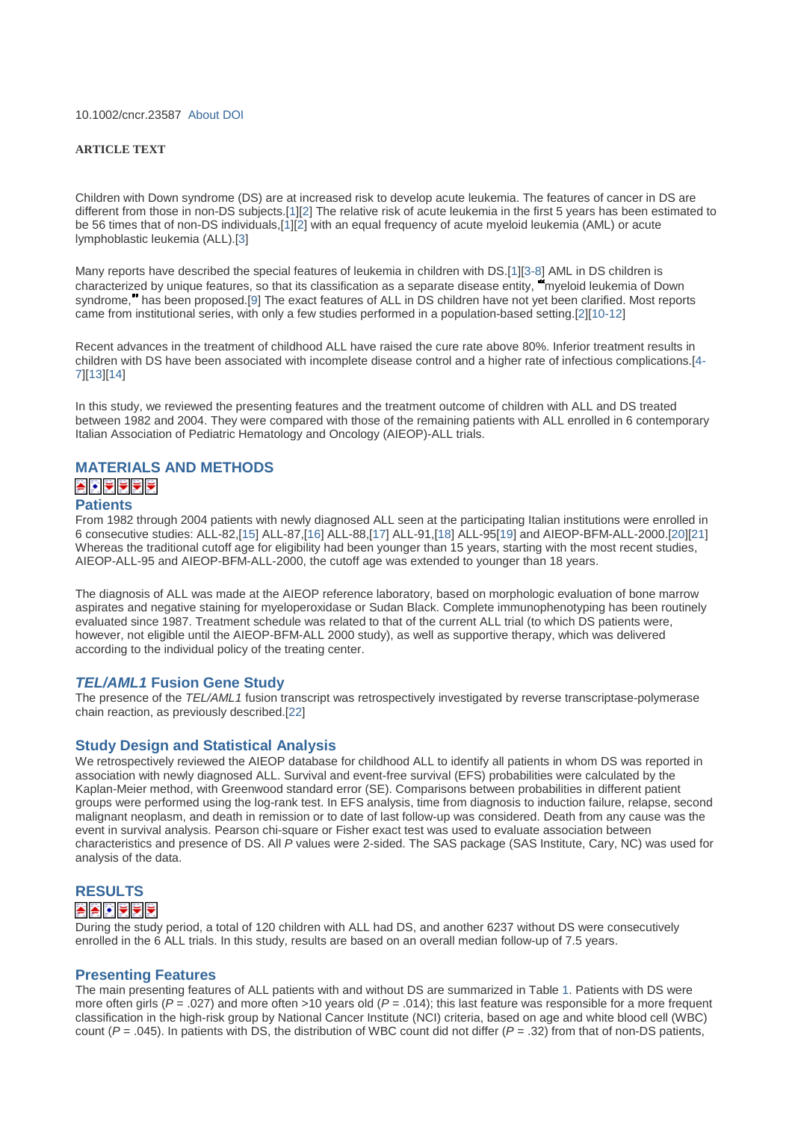10.1002/cncr.23587 About DOI

#### **ARTICLE TEXT**

Children with Down syndrome (DS) are at increased risk to develop acute leukemia. The features of cancer in DS are different from those in non-DS subjects.[1][2] The relative risk of acute leukemia in the first 5 years has been estimated to be 56 times that of non-DS individuals,[1][2] with an equal frequency of acute myeloid leukemia (AML) or acute lymphoblastic leukemia (ALL).[3]

Many reports have described the special features of leukemia in children with DS.[1][3-8] AML in DS children is characterized by unique features, so that its classification as a separate disease entity, <sup>m</sup> myeloid leukemia of Down syndrome, has been proposed.[9] The exact features of ALL in DS children have not yet been clarified. Most reports came from institutional series, with only a few studies performed in a population-based setting.[2][10-12]

Recent advances in the treatment of childhood ALL have raised the cure rate above 80%. Inferior treatment results in children with DS have been associated with incomplete disease control and a higher rate of infectious complications.[4- 7][13][14]

In this study, we reviewed the presenting features and the treatment outcome of children with ALL and DS treated between 1982 and 2004. They were compared with those of the remaining patients with ALL enrolled in 6 contemporary Italian Association of Pediatric Hematology and Oncology (AIEOP)-ALL trials.

### **MATERIALS AND METHODS** A 기도 기도

### **Patients**

From 1982 through 2004 patients with newly diagnosed ALL seen at the participating Italian institutions were enrolled in 6 consecutive studies: ALL-82,[15] ALL-87,[16] ALL-88,[17] ALL-91,[18] ALL-95[19] and AIEOP-BFM-ALL-2000.[20][21] Whereas the traditional cutoff age for eligibility had been younger than 15 years, starting with the most recent studies, AIEOP-ALL-95 and AIEOP-BFM-ALL-2000, the cutoff age was extended to younger than 18 years.

The diagnosis of ALL was made at the AIEOP reference laboratory, based on morphologic evaluation of bone marrow aspirates and negative staining for myeloperoxidase or Sudan Black. Complete immunophenotyping has been routinely evaluated since 1987. Treatment schedule was related to that of the current ALL trial (to which DS patients were, however, not eligible until the AIEOP-BFM-ALL 2000 study), as well as supportive therapy, which was delivered according to the individual policy of the treating center.

### *TEL/AML1* **Fusion Gene Study**

The presence of the *TEL/AML1* fusion transcript was retrospectively investigated by reverse transcriptase-polymerase chain reaction, as previously described.[22]

### **Study Design and Statistical Analysis**

We retrospectively reviewed the AIEOP database for childhood ALL to identify all patients in whom DS was reported in association with newly diagnosed ALL. Survival and event-free survival (EFS) probabilities were calculated by the Kaplan-Meier method, with Greenwood standard error (SE). Comparisons between probabilities in different patient groups were performed using the log-rank test. In EFS analysis, time from diagnosis to induction failure, relapse, second malignant neoplasm, and death in remission or to date of last follow-up was considered. Death from any cause was the event in survival analysis. Pearson chi-square or Fisher exact test was used to evaluate association between characteristics and presence of DS. All *P* values were 2-sided. The SAS package (SAS Institute, Cary, NC) was used for analysis of the data.

### **RESULTS**

### A A DIVIVI

During the study period, a total of 120 children with ALL had DS, and another 6237 without DS were consecutively enrolled in the 6 ALL trials. In this study, results are based on an overall median follow-up of 7.5 years.

### **Presenting Features**

The main presenting features of ALL patients with and without DS are summarized in Table 1. Patients with DS were more often girls ( $P = .027$ ) and more often >10 years old ( $P = .014$ ); this last feature was responsible for a more frequent classification in the high-risk group by National Cancer Institute (NCI) criteria, based on age and white blood cell (WBC) count  $(P = .045)$ . In patients with DS, the distribution of WBC count did not differ  $(P = .32)$  from that of non-DS patients,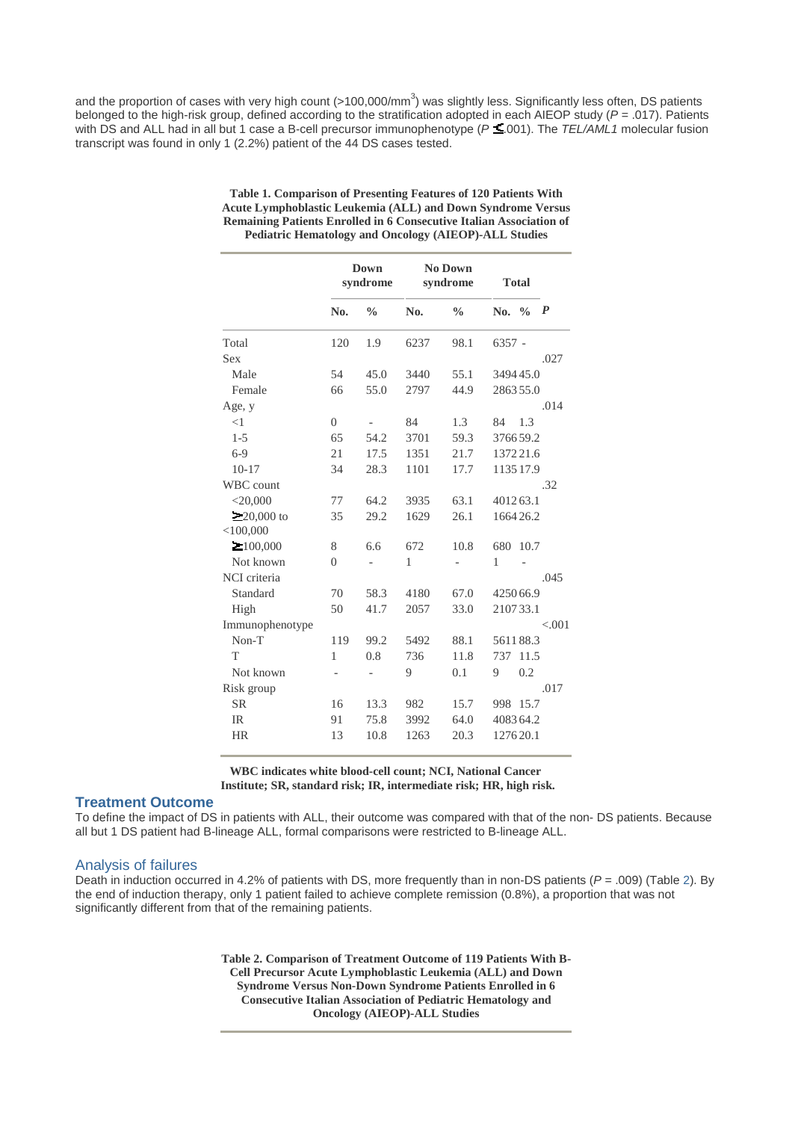and the proportion of cases with very high count (>100,000/mm<sup>3</sup>) was slightly less. Significantly less often, DS patients belonged to the high-risk group, defined according to the stratification adopted in each AIEOP study (*P* = .017). Patients with DS and ALL had in all but 1 case a B-cell precursor immunophenotype ( $P \le 001$ ). The *TEL/AML1* molecular fusion transcript was found in only 1 (2.2%) patient of the 44 DS cases tested.

| Down<br>syndrome |               | No Down<br>syndrome |               | <b>Total</b> |               |                                                                                                                                                                                          |
|------------------|---------------|---------------------|---------------|--------------|---------------|------------------------------------------------------------------------------------------------------------------------------------------------------------------------------------------|
| N <sub>0</sub>   | $\frac{0}{0}$ | N <sub>0</sub>      | $\frac{0}{0}$ |              | $\frac{0}{0}$ | $\boldsymbol{P}$                                                                                                                                                                         |
| 120              | 1.9           | 6237                | 98.1          |              |               |                                                                                                                                                                                          |
|                  |               |                     |               |              |               | .027                                                                                                                                                                                     |
| 54               | 45.0          | 3440                | 55.1          |              |               |                                                                                                                                                                                          |
| 66               | 55.0          | 2797                | 44.9          |              |               |                                                                                                                                                                                          |
|                  |               |                     |               |              |               | .014                                                                                                                                                                                     |
| $\overline{0}$   |               | 84                  | 1.3           | 84           | 1.3           |                                                                                                                                                                                          |
| 65               | 54.2          | 3701                | 59.3          |              |               |                                                                                                                                                                                          |
| 21               | 17.5          | 1351                | 21.7          |              |               |                                                                                                                                                                                          |
| 34               | 28.3          | 1101                | 17.7          |              |               |                                                                                                                                                                                          |
|                  |               |                     |               |              |               | .32                                                                                                                                                                                      |
| 77               | 64.2          | 3935                | 63.1          |              |               |                                                                                                                                                                                          |
| 35               | 29.2          | 1629                | 26.1          |              |               |                                                                                                                                                                                          |
|                  |               |                     |               |              |               |                                                                                                                                                                                          |
| 8                | 6.6           | 672                 | 10.8          | 680          |               |                                                                                                                                                                                          |
| $\theta$         |               | 1                   |               | 1            |               |                                                                                                                                                                                          |
|                  |               |                     |               |              |               | .045                                                                                                                                                                                     |
| 70               | 58.3          | 4180                | 67.0          |              |               |                                                                                                                                                                                          |
| 50               | 41.7          | 2057                | 33.0          |              |               |                                                                                                                                                                                          |
|                  |               |                     |               |              |               | < 0.01                                                                                                                                                                                   |
| 119              | 99.2          | 5492                | 88.1          |              |               |                                                                                                                                                                                          |
| 1                | 0.8           | 736                 | 11.8          | 737          |               |                                                                                                                                                                                          |
| $\overline{a}$   |               | 9                   | 0.1           | 9            | 0.2           |                                                                                                                                                                                          |
|                  |               |                     |               |              |               | .017                                                                                                                                                                                     |
| 16               | 13.3          | 982                 | 15.7          | 998          |               |                                                                                                                                                                                          |
| 91               | 75.8          | 3992                | 64.0          |              |               |                                                                                                                                                                                          |
| 13               | 10.8          | 1263                | 20.3          |              |               |                                                                                                                                                                                          |
|                  |               |                     |               |              |               | No.<br>$6357 -$<br>349445.0<br>286355.0<br>376659.2<br>137221.6<br>1135 17.9<br>401263.1<br>166426.2<br>10.7<br>425066.9<br>210733.1<br>561188.3<br>11.5<br>15.7<br>408364.2<br>127620.1 |

**Table 1. Comparison of Presenting Features of 120 Patients With Acute Lymphoblastic Leukemia (ALL) and Down Syndrome Versus Remaining Patients Enrolled in 6 Consecutive Italian Association of Pediatric Hematology and Oncology (AIEOP)-ALL Studies**

**WBC indicates white blood-cell count; NCI, National Cancer Institute; SR, standard risk; IR, intermediate risk; HR, high risk.**

### **Treatment Outcome**

To define the impact of DS in patients with ALL, their outcome was compared with that of the non- DS patients. Because all but 1 DS patient had B-lineage ALL, formal comparisons were restricted to B-lineage ALL.

### Analysis of failures

Death in induction occurred in 4.2% of patients with DS, more frequently than in non-DS patients (*P* = .009) (Table 2). By the end of induction therapy, only 1 patient failed to achieve complete remission (0.8%), a proportion that was not significantly different from that of the remaining patients.

> **Table 2. Comparison of Treatment Outcome of 119 Patients With B-Cell Precursor Acute Lymphoblastic Leukemia (ALL) and Down Syndrome Versus Non-Down Syndrome Patients Enrolled in 6 Consecutive Italian Association of Pediatric Hematology and Oncology (AIEOP)-ALL Studies**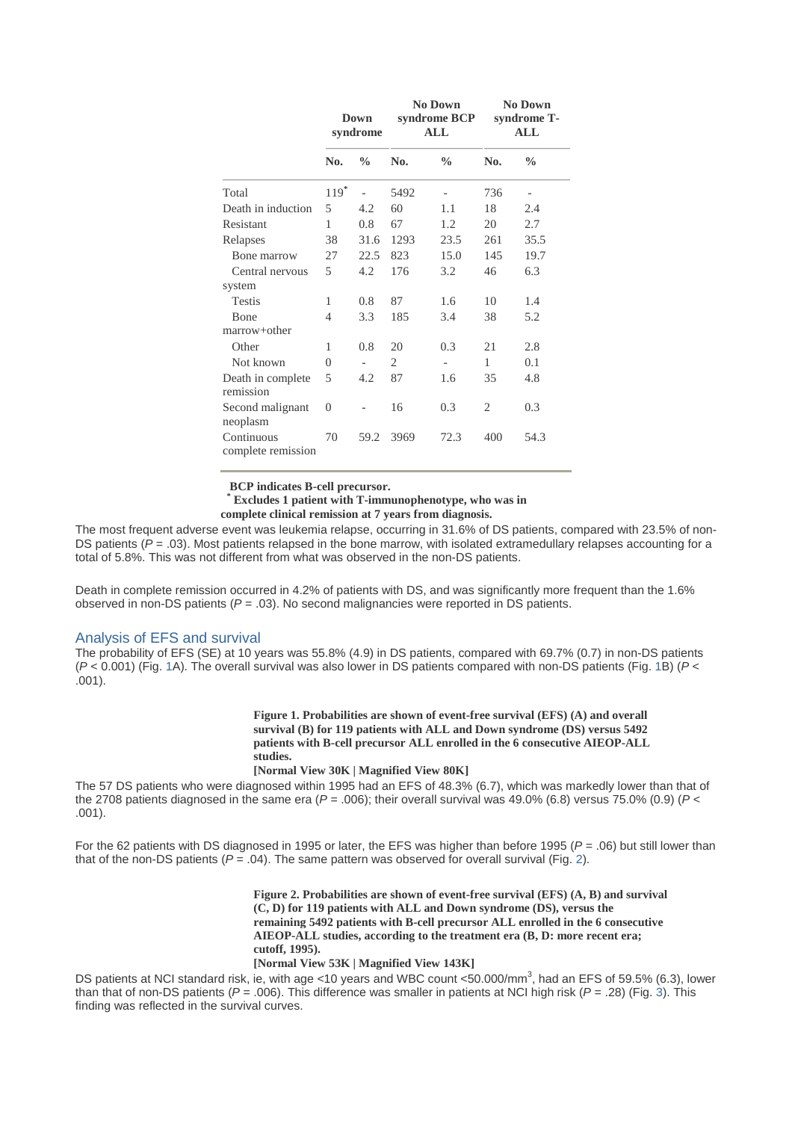|                                  | Down<br>syndrome |               | <b>No Down</b><br>syndrome BCP<br>ALL |               | <b>No Down</b><br>syndrome T-<br>$\mathbf{ALL}$ |                          |
|----------------------------------|------------------|---------------|---------------------------------------|---------------|-------------------------------------------------|--------------------------|
|                                  | No.              | $\frac{0}{0}$ | No.                                   | $\frac{0}{0}$ | No.                                             | $\frac{0}{0}$            |
| Total                            | $119*$           |               | 5492                                  |               | 736                                             | $\overline{\phantom{0}}$ |
| Death in induction               | 5                | 4.2           | 60                                    | 1.1           | 18                                              | 2.4                      |
| Resistant                        | 1                | 0.8           | 67                                    | 1.2           | 20                                              | 2.7                      |
| Relapses                         | 38               | 31.6          | 1293                                  | 23.5          | 261                                             | 35.5                     |
| Bone marrow                      | 27               | 22.5          | 823                                   | 15.0          | 145                                             | 19.7                     |
| Central nervous                  | 5                | 4.2           | 176                                   | 3.2           | 46                                              | 6.3                      |
| system                           |                  |               |                                       |               |                                                 |                          |
| <b>Testis</b>                    | 1                | 0.8           | 87                                    | 1.6           | 10                                              | 1.4                      |
| <b>B</b> one                     | 4                | 3.3           | 185                                   | 3.4           | 38                                              | 5.2                      |
| marrow+other                     |                  |               |                                       |               |                                                 |                          |
| Other                            | 1                | 0.8           | 20                                    | 0.3           | 21                                              | 2.8                      |
| Not known                        | $\theta$         |               | 2                                     |               | 1                                               | 0.1                      |
| Death in complete<br>remission   | 5                | 4.2           | 87                                    | 1.6           | 35                                              | 4.8                      |
| Second malignant<br>neoplasm     | 0                |               | 16                                    | 0.3           | $\mathfrak{2}$                                  | 0.3                      |
| Continuous<br>complete remission | 70               | 59.2          | 3969                                  | 72.3          | 400                                             | 54.3                     |

**BCP indicates B-cell precursor.**

**\* Excludes 1 patient with T-immunophenotype, who was in**

**complete clinical remission at 7 years from diagnosis.**

The most frequent adverse event was leukemia relapse, occurring in 31.6% of DS patients, compared with 23.5% of non-DS patients ( $P = .03$ ). Most patients relapsed in the bone marrow, with isolated extramedullary relapses accounting for a total of 5.8%. This was not different from what was observed in the non-DS patients.

Death in complete remission occurred in 4.2% of patients with DS, and was significantly more frequent than the 1.6% observed in non-DS patients (*P* = .03). No second malignancies were reported in DS patients.

### Analysis of EFS and survival

The probability of EFS (SE) at 10 years was 55.8% (4.9) in DS patients, compared with 69.7% (0.7) in non-DS patients (*P* < 0.001) (Fig. 1A). The overall survival was also lower in DS patients compared with non-DS patients (Fig. 1B) (*P* < .001).

> **Figure 1. Probabilities are shown of event-free survival (EFS) (A) and overall survival (B) for 119 patients with ALL and Down syndrome (DS) versus 5492 patients with B-cell precursor ALL enrolled in the 6 consecutive AIEOP-ALL studies.**

### **[Normal View 30K | Magnified View 80K]**

The 57 DS patients who were diagnosed within 1995 had an EFS of 48.3% (6.7), which was markedly lower than that of the 2708 patients diagnosed in the same era  $(P = .006)$ ; their overall survival was 49.0% (6.8) versus 75.0% (0.9)  $(P <$ .001).

For the 62 patients with DS diagnosed in 1995 or later, the EFS was higher than before 1995 (*P* = .06) but still lower than that of the non-DS patients  $(P = .04)$ . The same pattern was observed for overall survival (Fig. 2).

> **Figure 2. Probabilities are shown of event-free survival (EFS) (A, B) and survival (C, D) for 119 patients with ALL and Down syndrome (DS), versus the remaining 5492 patients with B-cell precursor ALL enrolled in the 6 consecutive AIEOP-ALL studies, according to the treatment era (B, D: more recent era; cutoff, 1995).**

#### **[Normal View 53K | Magnified View 143K]**

DS patients at NCI standard risk, ie, with age <10 years and WBC count <50.000/mm<sup>3</sup>, had an EFS of 59.5% (6.3), lower than that of non-DS patients (*P* = .006). This difference was smaller in patients at NCI high risk (*P* = .28) (Fig. 3). This finding was reflected in the survival curves.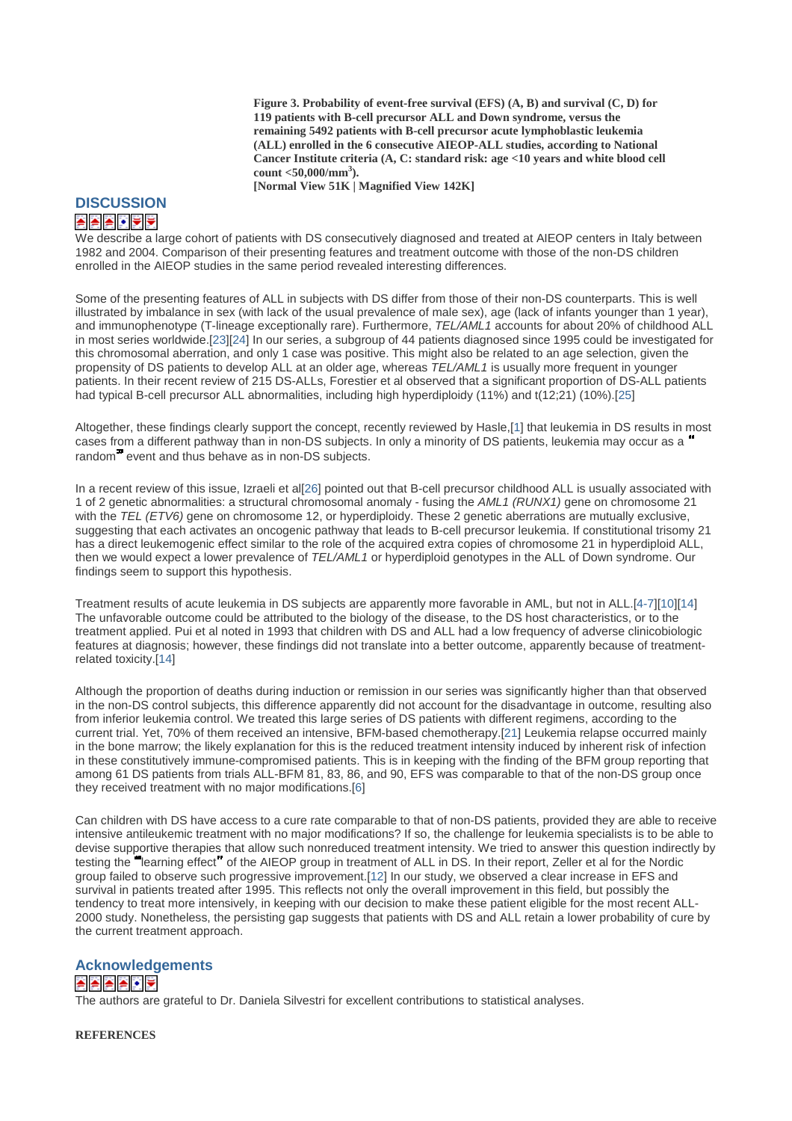**Figure 3. Probability of event-free survival (EFS) (A, B) and survival (C, D) for 119 patients with B-cell precursor ALL and Down syndrome, versus the remaining 5492 patients with B-cell precursor acute lymphoblastic leukemia (ALL) enrolled in the 6 consecutive AIEOP-ALL studies, according to National Cancer Institute criteria (A, C: standard risk: age <10 years and white blood cell count <50,000/mm<sup>3</sup> ).**

**[Normal View 51K | Magnified View 142K]**

# **DISCUSSION**

## A A A J Y Y

We describe a large cohort of patients with DS consecutively diagnosed and treated at AIEOP centers in Italy between 1982 and 2004. Comparison of their presenting features and treatment outcome with those of the non-DS children enrolled in the AIEOP studies in the same period revealed interesting differences.

Some of the presenting features of ALL in subjects with DS differ from those of their non-DS counterparts. This is well illustrated by imbalance in sex (with lack of the usual prevalence of male sex), age (lack of infants younger than 1 year), and immunophenotype (T-lineage exceptionally rare). Furthermore, *TEL/AML1* accounts for about 20% of childhood ALL in most series worldwide.[23][24] In our series, a subgroup of 44 patients diagnosed since 1995 could be investigated for this chromosomal aberration, and only 1 case was positive. This might also be related to an age selection, given the propensity of DS patients to develop ALL at an older age, whereas *TEL/AML1* is usually more frequent in younger patients. In their recent review of 215 DS-ALLs, Forestier et al observed that a significant proportion of DS-ALL patients had typical B-cell precursor ALL abnormalities, including high hyperdiploidy (11%) and t(12;21) (10%).[25]

Altogether, these findings clearly support the concept, recently reviewed by Hasle,[1] that leukemia in DS results in most cases from a different pathway than in non-DS subjects. In only a minority of DS patients, leukemia may occur as a random<sup>7</sup> event and thus behave as in non-DS subjects.

In a recent review of this issue, Izraeli et al[26] pointed out that B-cell precursor childhood ALL is usually associated with 1 of 2 genetic abnormalities: a structural chromosomal anomaly - fusing the *AML1 (RUNX1)* gene on chromosome 21 with the *TEL (ETV6)* gene on chromosome 12, or hyperdiploidy. These 2 genetic aberrations are mutually exclusive, suggesting that each activates an oncogenic pathway that leads to B-cell precursor leukemia. If constitutional trisomy 21 has a direct leukemogenic effect similar to the role of the acquired extra copies of chromosome 21 in hyperdiploid ALL, then we would expect a lower prevalence of *TEL/AML1* or hyperdiploid genotypes in the ALL of Down syndrome. Our findings seem to support this hypothesis.

Treatment results of acute leukemia in DS subjects are apparently more favorable in AML, but not in ALL.[4-7][10][14] The unfavorable outcome could be attributed to the biology of the disease, to the DS host characteristics, or to the treatment applied. Pui et al noted in 1993 that children with DS and ALL had a low frequency of adverse clinicobiologic features at diagnosis; however, these findings did not translate into a better outcome, apparently because of treatmentrelated toxicity.[14]

Although the proportion of deaths during induction or remission in our series was significantly higher than that observed in the non-DS control subjects, this difference apparently did not account for the disadvantage in outcome, resulting also from inferior leukemia control. We treated this large series of DS patients with different regimens, according to the current trial. Yet, 70% of them received an intensive, BFM-based chemotherapy.[21] Leukemia relapse occurred mainly in the bone marrow; the likely explanation for this is the reduced treatment intensity induced by inherent risk of infection in these constitutively immune-compromised patients. This is in keeping with the finding of the BFM group reporting that among 61 DS patients from trials ALL-BFM 81, 83, 86, and 90, EFS was comparable to that of the non-DS group once they received treatment with no major modifications.[6]

Can children with DS have access to a cure rate comparable to that of non-DS patients, provided they are able to receive intensive antileukemic treatment with no major modifications? If so, the challenge for leukemia specialists is to be able to devise supportive therapies that allow such nonreduced treatment intensity. We tried to answer this question indirectly by testing the "learning effect" of the AIEOP group in treatment of ALL in DS. In their report, Zeller et al for the Nordic group failed to observe such progressive improvement.[12] In our study, we observed a clear increase in EFS and survival in patients treated after 1995. This reflects not only the overall improvement in this field, but possibly the tendency to treat more intensively, in keeping with our decision to make these patient eligible for the most recent ALL-2000 study. Nonetheless, the persisting gap suggests that patients with DS and ALL retain a lower probability of cure by the current treatment approach.

### **Acknowledgements**

### **AAAA** I

The authors are grateful to Dr. Daniela Silvestri for excellent contributions to statistical analyses.

**REFERENCES**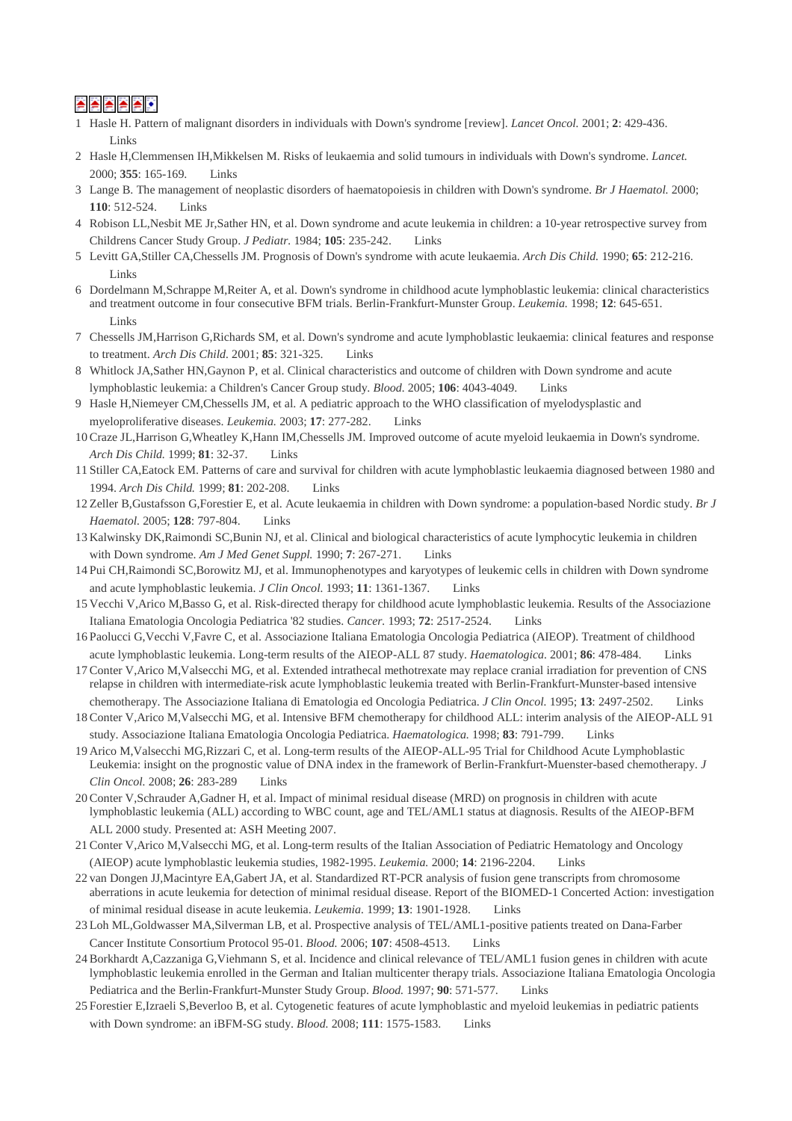# ⋡▏⋡▏⋡▏⋡▏▞

- 1 Hasle H. Pattern of malignant disorders in individuals with Down's syndrome [review]. *Lancet Oncol.* 2001; **2**: 429-436. Links
- 2 Hasle H,Clemmensen IH,Mikkelsen M. Risks of leukaemia and solid tumours in individuals with Down's syndrome. *Lancet.* 2000; **355**: 165-169. Links
- 3 Lange B. The management of neoplastic disorders of haematopoiesis in children with Down's syndrome. *Br J Haematol.* 2000; **110**: 512-524. Links
- 4 Robison LL,Nesbit ME Jr,Sather HN, et al. Down syndrome and acute leukemia in children: a 10-year retrospective survey from Childrens Cancer Study Group. *J Pediatr.* 1984; **105**: 235-242. Links
- 5 Levitt GA,Stiller CA,Chessells JM. Prognosis of Down's syndrome with acute leukaemia. *Arch Dis Child.* 1990; **65**: 212-216. Links
- 6 Dordelmann M,Schrappe M,Reiter A, et al. Down's syndrome in childhood acute lymphoblastic leukemia: clinical characteristics and treatment outcome in four consecutive BFM trials. Berlin-Frankfurt-Munster Group. *Leukemia.* 1998; **12**: 645-651. **Links**
- 7 Chessells JM,Harrison G,Richards SM, et al. Down's syndrome and acute lymphoblastic leukaemia: clinical features and response to treatment. *Arch Dis Child.* 2001; **85**: 321-325. Links
- 8 Whitlock JA,Sather HN,Gaynon P, et al. Clinical characteristics and outcome of children with Down syndrome and acute lymphoblastic leukemia: a Children's Cancer Group study. *Blood.* 2005; **106**: 4043-4049. Links
- 9 Hasle H,Niemeyer CM,Chessells JM, et al. A pediatric approach to the WHO classification of myelodysplastic and myeloproliferative diseases. *Leukemia.* 2003; **17**: 277-282. Links
- 10 Craze JL,Harrison G,Wheatley K,Hann IM,Chessells JM. Improved outcome of acute myeloid leukaemia in Down's syndrome. *Arch Dis Child.* 1999; **81**: 32-37. Links
- 11 Stiller CA,Eatock EM. Patterns of care and survival for children with acute lymphoblastic leukaemia diagnosed between 1980 and 1994. *Arch Dis Child.* 1999; **81**: 202-208. Links
- 12 Zeller B,Gustafsson G,Forestier E, et al. Acute leukaemia in children with Down syndrome: a population-based Nordic study. *Br J Haematol.* 2005; **128**: 797-804. Links
- 13 Kalwinsky DK,Raimondi SC,Bunin NJ, et al. Clinical and biological characteristics of acute lymphocytic leukemia in children with Down syndrome. *Am J Med Genet Suppl.* 1990; **7**: 267-271. Links
- 14 Pui CH,Raimondi SC,Borowitz MJ, et al. Immunophenotypes and karyotypes of leukemic cells in children with Down syndrome and acute lymphoblastic leukemia. *J Clin Oncol.* 1993; **11**: 1361-1367. Links
- 15 Vecchi V,Arico M,Basso G, et al. Risk-directed therapy for childhood acute lymphoblastic leukemia. Results of the Associazione Italiana Ematologia Oncologia Pediatrica '82 studies. *Cancer.* 1993; **72**: 2517-2524. Links
- 16 Paolucci G,Vecchi V,Favre C, et al. Associazione Italiana Ematologia Oncologia Pediatrica (AIEOP). Treatment of childhood acute lymphoblastic leukemia. Long-term results of the AIEOP-ALL 87 study. *Haematologica.* 2001; **86**: 478-484. Links
- 17 Conter V,Arico M,Valsecchi MG, et al. Extended intrathecal methotrexate may replace cranial irradiation for prevention of CNS relapse in children with intermediate-risk acute lymphoblastic leukemia treated with Berlin-Frankfurt-Munster-based intensive chemotherapy. The Associazione Italiana di Ematologia ed Oncologia Pediatrica. *J Clin Oncol.* 1995; **13**: 2497-2502. Links
- 18 Conter V,Arico M,Valsecchi MG, et al. Intensive BFM chemotherapy for childhood ALL: interim analysis of the AIEOP-ALL 91 study. Associazione Italiana Ematologia Oncologia Pediatrica. *Haematologica.* 1998; **83**: 791-799. Links
- 19 Arico M,Valsecchi MG,Rizzari C, et al. Long-term results of the AIEOP-ALL-95 Trial for Childhood Acute Lymphoblastic Leukemia: insight on the prognostic value of DNA index in the framework of Berlin-Frankfurt-Muenster-based chemotherapy. *J Clin Oncol.* 2008; **26**: 283-289 Links
- 20 Conter V,Schrauder A,Gadner H, et al. Impact of minimal residual disease (MRD) on prognosis in children with acute lymphoblastic leukemia (ALL) according to WBC count, age and TEL/AML1 status at diagnosis. Results of the AIEOP-BFM ALL 2000 study. Presented at: ASH Meeting 2007.
- 21 Conter V,Arico M,Valsecchi MG, et al. Long-term results of the Italian Association of Pediatric Hematology and Oncology (AIEOP) acute lymphoblastic leukemia studies, 1982-1995. *Leukemia.* 2000; **14**: 2196-2204. Links
- 22 van Dongen JJ,Macintyre EA,Gabert JA, et al. Standardized RT-PCR analysis of fusion gene transcripts from chromosome aberrations in acute leukemia for detection of minimal residual disease. Report of the BIOMED-1 Concerted Action: investigation of minimal residual disease in acute leukemia. *Leukemia.* 1999; **13**: 1901-1928. Links
- 23 Loh ML,Goldwasser MA,Silverman LB, et al. Prospective analysis of TEL/AML1-positive patients treated on Dana-Farber Cancer Institute Consortium Protocol 95-01. *Blood.* 2006; **107**: 4508-4513. Links
- 24 Borkhardt A,Cazzaniga G,Viehmann S, et al. Incidence and clinical relevance of TEL/AML1 fusion genes in children with acute lymphoblastic leukemia enrolled in the German and Italian multicenter therapy trials. Associazione Italiana Ematologia Oncologia Pediatrica and the Berlin-Frankfurt-Munster Study Group. *Blood.* 1997; **90**: 571-577. Links
- 25 Forestier E,Izraeli S,Beverloo B, et al. Cytogenetic features of acute lymphoblastic and myeloid leukemias in pediatric patients with Down syndrome: an iBFM-SG study. *Blood.* 2008; **111**: 1575-1583. Links